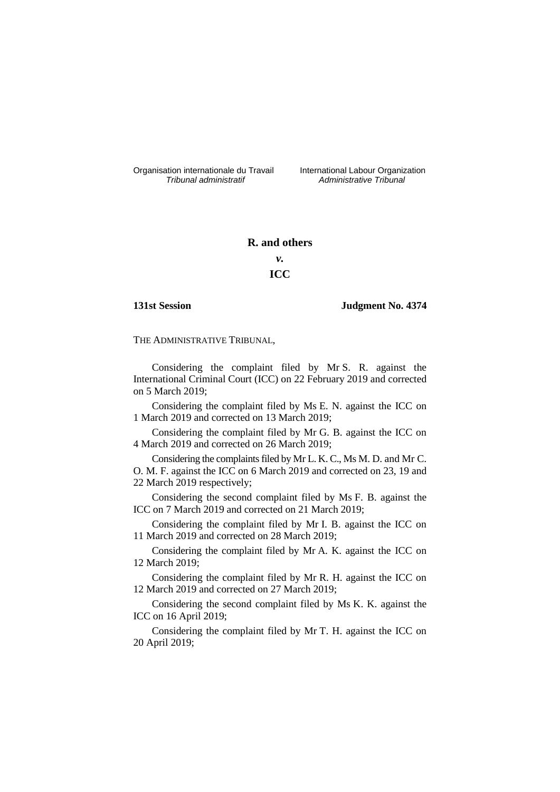Organisation internationale du Travail liternational Labour Organization<br> *Tribunal administratif Administrative Tribunal* 

*Tribunal administratif Administrative Tribunal*

# **R. and others**

# *v.* **ICC**

## **131st Session Judgment No. 4374**

THE ADMINISTRATIVE TRIBUNAL,

Considering the complaint filed by Mr S. R. against the International Criminal Court (ICC) on 22 February 2019 and corrected on 5 March 2019;

Considering the complaint filed by Ms E. N. against the ICC on 1 March 2019 and corrected on 13 March 2019;

Considering the complaint filed by Mr G. B. against the ICC on 4 March 2019 and corrected on 26 March 2019;

Considering the complaints filed by Mr L. K. C., Ms M. D. and Mr C. O. M. F. against the ICC on 6 March 2019 and corrected on 23, 19 and 22 March 2019 respectively;

Considering the second complaint filed by Ms F. B. against the ICC on 7 March 2019 and corrected on 21 March 2019;

Considering the complaint filed by Mr I. B. against the ICC on 11 March 2019 and corrected on 28 March 2019;

Considering the complaint filed by Mr A. K. against the ICC on 12 March 2019;

Considering the complaint filed by Mr R. H. against the ICC on 12 March 2019 and corrected on 27 March 2019;

Considering the second complaint filed by Ms K. K. against the ICC on 16 April 2019;

Considering the complaint filed by Mr T. H. against the ICC on 20 April 2019;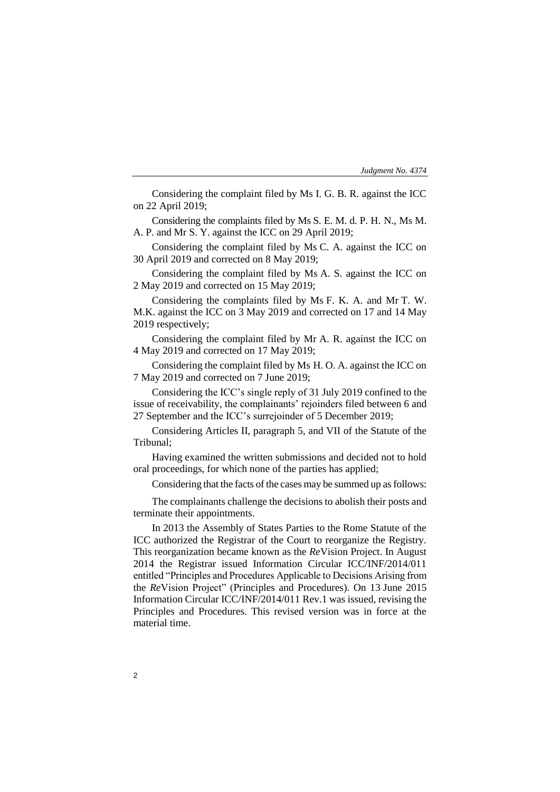| Judgment No. 4374 |  |  |
|-------------------|--|--|
|-------------------|--|--|

Considering the complaint filed by Ms I. G. B. R. against the ICC on 22 April 2019;

Considering the complaints filed by Ms S. E. M. d. P. H. N., Ms M. A. P. and Mr S. Y. against the ICC on 29 April 2019;

Considering the complaint filed by Ms C. A. against the ICC on 30 April 2019 and corrected on 8 May 2019;

Considering the complaint filed by Ms A. S. against the ICC on 2 May 2019 and corrected on 15 May 2019;

Considering the complaints filed by Ms F. K. A. and Mr T. W. M.K. against the ICC on 3 May 2019 and corrected on 17 and 14 May 2019 respectively;

Considering the complaint filed by Mr A. R. against the ICC on 4 May 2019 and corrected on 17 May 2019;

Considering the complaint filed by Ms H. O. A. against the ICC on 7 May 2019 and corrected on 7 June 2019;

Considering the ICC's single reply of 31 July 2019 confined to the issue of receivability, the complainants' rejoinders filed between 6 and 27 September and the ICC's surrejoinder of 5 December 2019;

Considering Articles II, paragraph 5, and VII of the Statute of the Tribunal;

Having examined the written submissions and decided not to hold oral proceedings, for which none of the parties has applied;

Considering that the facts of the cases may be summed up as follows:

The complainants challenge the decisions to abolish their posts and terminate their appointments.

In 2013 the Assembly of States Parties to the Rome Statute of the ICC authorized the Registrar of the Court to reorganize the Registry. This reorganization became known as the *Re*Vision Project. In August 2014 the Registrar issued Information Circular ICC/INF/2014/011 entitled "Principles and Procedures Applicable to Decisions Arising from the *Re*Vision Project" (Principles and Procedures). On 13 June 2015 Information Circular ICC/INF/2014/011 Rev.1 was issued, revising the Principles and Procedures. This revised version was in force at the material time.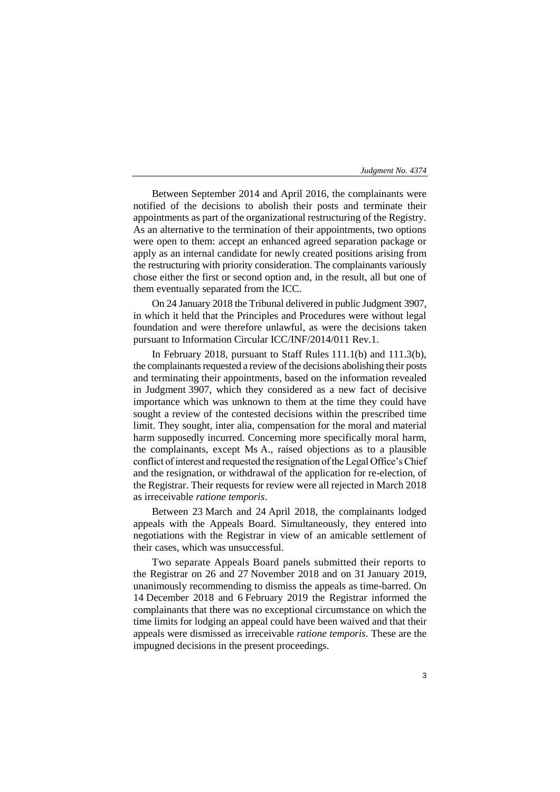Between September 2014 and April 2016, the complainants were notified of the decisions to abolish their posts and terminate their appointments as part of the organizational restructuring of the Registry. As an alternative to the termination of their appointments, two options were open to them: accept an enhanced agreed separation package or apply as an internal candidate for newly created positions arising from the restructuring with priority consideration. The complainants variously chose either the first or second option and, in the result, all but one of them eventually separated from the ICC.

On 24 January 2018 the Tribunal delivered in public Judgment 3907, in which it held that the Principles and Procedures were without legal foundation and were therefore unlawful, as were the decisions taken pursuant to Information Circular ICC/INF/2014/011 Rev.1.

In February 2018, pursuant to Staff Rules 111.1(b) and 111.3(b), the complainants requested a review of the decisions abolishing their posts and terminating their appointments, based on the information revealed in Judgment 3907, which they considered as a new fact of decisive importance which was unknown to them at the time they could have sought a review of the contested decisions within the prescribed time limit. They sought, inter alia, compensation for the moral and material harm supposedly incurred. Concerning more specifically moral harm, the complainants, except Ms A., raised objections as to a plausible conflict of interest and requested the resignation of the Legal Office's Chief and the resignation, or withdrawal of the application for re-election, of the Registrar. Their requests for review were all rejected in March 2018 as irreceivable *ratione temporis*.

Between 23 March and 24 April 2018, the complainants lodged appeals with the Appeals Board. Simultaneously, they entered into negotiations with the Registrar in view of an amicable settlement of their cases, which was unsuccessful.

Two separate Appeals Board panels submitted their reports to the Registrar on 26 and 27 November 2018 and on 31 January 2019, unanimously recommending to dismiss the appeals as time-barred. On 14 December 2018 and 6 February 2019 the Registrar informed the complainants that there was no exceptional circumstance on which the time limits for lodging an appeal could have been waived and that their appeals were dismissed as irreceivable *ratione temporis*. These are the impugned decisions in the present proceedings.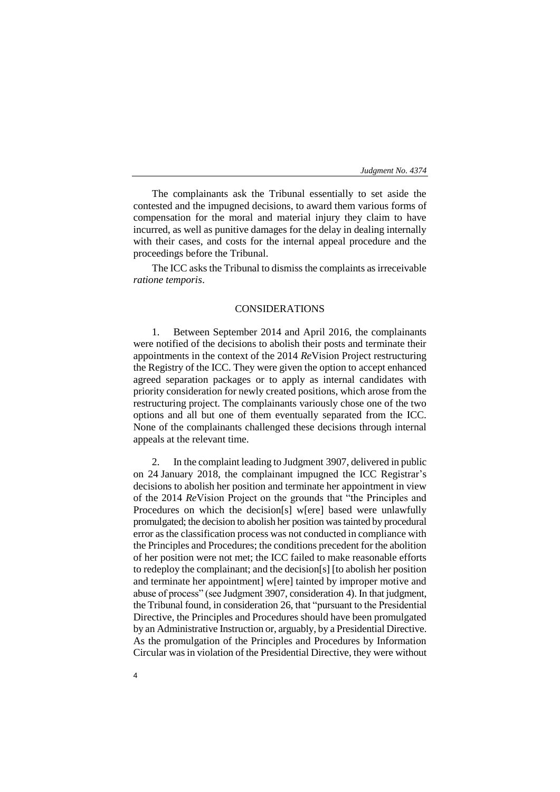The complainants ask the Tribunal essentially to set aside the contested and the impugned decisions, to award them various forms of compensation for the moral and material injury they claim to have incurred, as well as punitive damages for the delay in dealing internally with their cases, and costs for the internal appeal procedure and the proceedings before the Tribunal.

The ICC asks the Tribunal to dismiss the complaints as irreceivable *ratione temporis*.

# CONSIDERATIONS

1. Between September 2014 and April 2016, the complainants were notified of the decisions to abolish their posts and terminate their appointments in the context of the 2014 *Re*Vision Project restructuring the Registry of the ICC. They were given the option to accept enhanced agreed separation packages or to apply as internal candidates with priority consideration for newly created positions, which arose from the restructuring project. The complainants variously chose one of the two options and all but one of them eventually separated from the ICC. None of the complainants challenged these decisions through internal appeals at the relevant time.

2. In the complaint leading to Judgment 3907, delivered in public on 24 January 2018, the complainant impugned the ICC Registrar's decisions to abolish her position and terminate her appointment in view of the 2014 *Re*Vision Project on the grounds that "the Principles and Procedures on which the decision[s] w[ere] based were unlawfully promulgated; the decision to abolish her position was tainted by procedural error as the classification process was not conducted in compliance with the Principles and Procedures; the conditions precedent for the abolition of her position were not met; the ICC failed to make reasonable efforts to redeploy the complainant; and the decision[s] [to abolish her position and terminate her appointment] w[ere] tainted by improper motive and abuse of process" (see Judgment 3907, consideration 4). In that judgment, the Tribunal found, in consideration 26, that "pursuant to the Presidential Directive, the Principles and Procedures should have been promulgated by an Administrative Instruction or, arguably, by a Presidential Directive. As the promulgation of the Principles and Procedures by Information Circular was in violation of the Presidential Directive, they were without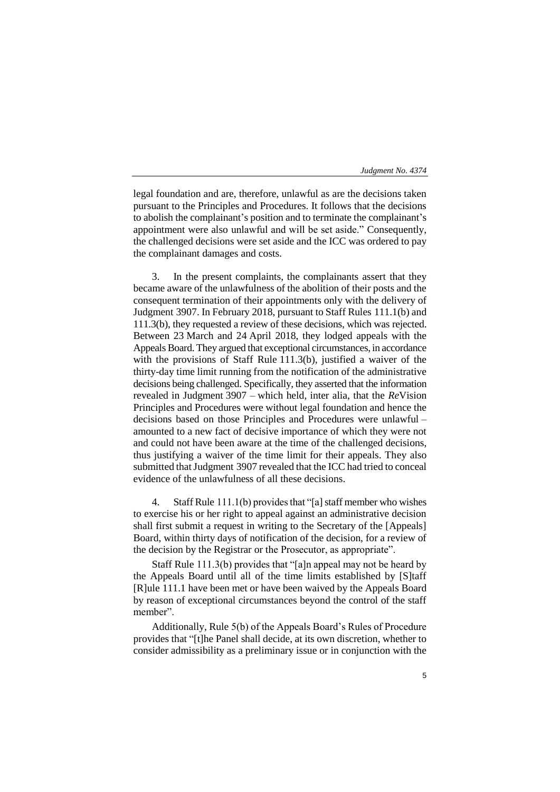legal foundation and are, therefore, unlawful as are the decisions taken pursuant to the Principles and Procedures. It follows that the decisions to abolish the complainant's position and to terminate the complainant's appointment were also unlawful and will be set aside." Consequently, the challenged decisions were set aside and the ICC was ordered to pay the complainant damages and costs.

3. In the present complaints, the complainants assert that they became aware of the unlawfulness of the abolition of their posts and the consequent termination of their appointments only with the delivery of Judgment 3907. In February 2018, pursuant to Staff Rules 111.1(b) and 111.3(b), they requested a review of these decisions, which was rejected. Between 23 March and 24 April 2018, they lodged appeals with the Appeals Board. They argued that exceptional circumstances, in accordance with the provisions of Staff Rule 111.3(b), justified a waiver of the thirty-day time limit running from the notification of the administrative decisions being challenged. Specifically, they asserted that the information revealed in Judgment 3907 – which held, inter alia, that the *Re*Vision Principles and Procedures were without legal foundation and hence the decisions based on those Principles and Procedures were unlawful – amounted to a new fact of decisive importance of which they were not and could not have been aware at the time of the challenged decisions, thus justifying a waiver of the time limit for their appeals. They also submitted that Judgment 3907 revealed that the ICC had tried to conceal evidence of the unlawfulness of all these decisions.

4. Staff Rule 111.1(b) provides that "[a] staff member who wishes to exercise his or her right to appeal against an administrative decision shall first submit a request in writing to the Secretary of the [Appeals] Board, within thirty days of notification of the decision, for a review of the decision by the Registrar or the Prosecutor, as appropriate".

Staff Rule 111.3(b) provides that "[a]n appeal may not be heard by the Appeals Board until all of the time limits established by [S]taff [R]ule 111.1 have been met or have been waived by the Appeals Board by reason of exceptional circumstances beyond the control of the staff member".

Additionally, Rule 5(b) of the Appeals Board's Rules of Procedure provides that "[t]he Panel shall decide, at its own discretion, whether to consider admissibility as a preliminary issue or in conjunction with the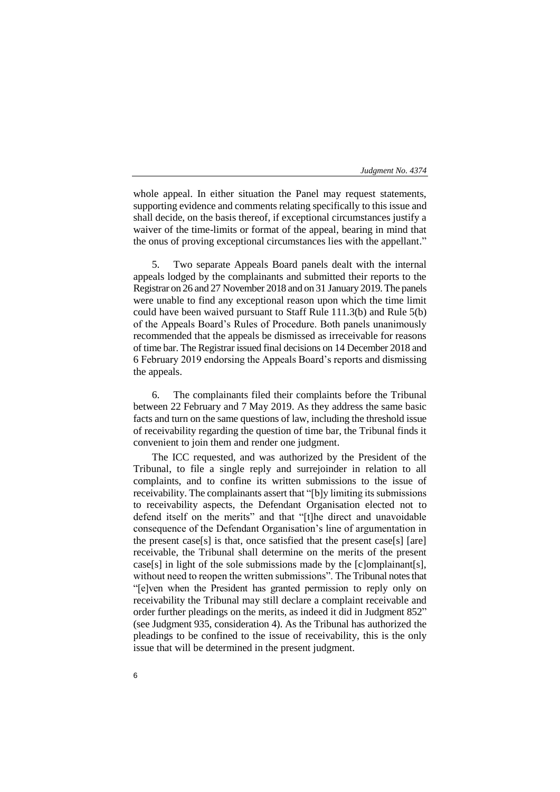whole appeal. In either situation the Panel may request statements, supporting evidence and comments relating specifically to this issue and shall decide, on the basis thereof, if exceptional circumstances justify a waiver of the time-limits or format of the appeal, bearing in mind that the onus of proving exceptional circumstances lies with the appellant."

5. Two separate Appeals Board panels dealt with the internal appeals lodged by the complainants and submitted their reports to the Registrar on 26 and 27 November 2018 and on 31 January 2019. The panels were unable to find any exceptional reason upon which the time limit could have been waived pursuant to Staff Rule 111.3(b) and Rule 5(b) of the Appeals Board's Rules of Procedure. Both panels unanimously recommended that the appeals be dismissed as irreceivable for reasons of time bar. The Registrar issued final decisions on 14 December 2018 and 6 February 2019 endorsing the Appeals Board's reports and dismissing the appeals.

6. The complainants filed their complaints before the Tribunal between 22 February and 7 May 2019. As they address the same basic facts and turn on the same questions of law, including the threshold issue of receivability regarding the question of time bar, the Tribunal finds it convenient to join them and render one judgment.

The ICC requested, and was authorized by the President of the Tribunal, to file a single reply and surrejoinder in relation to all complaints, and to confine its written submissions to the issue of receivability. The complainants assert that "[b]y limiting its submissions to receivability aspects, the Defendant Organisation elected not to defend itself on the merits" and that "[t]he direct and unavoidable consequence of the Defendant Organisation's line of argumentation in the present case[s] is that, once satisfied that the present case[s] [are] receivable, the Tribunal shall determine on the merits of the present case[s] in light of the sole submissions made by the [c]omplainant[s], without need to reopen the written submissions". The Tribunal notes that "[e]ven when the President has granted permission to reply only on receivability the Tribunal may still declare a complaint receivable and order further pleadings on the merits, as indeed it did in Judgment 852" (see Judgment 935, consideration 4). As the Tribunal has authorized the pleadings to be confined to the issue of receivability, this is the only issue that will be determined in the present judgment.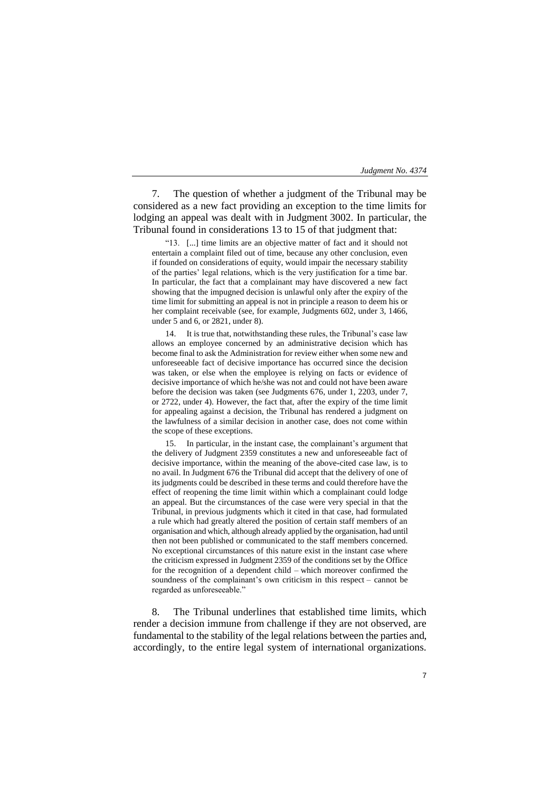7. The question of whether a judgment of the Tribunal may be considered as a new fact providing an exception to the time limits for lodging an appeal was dealt with in Judgment 3002. In particular, the Tribunal found in considerations 13 to 15 of that judgment that:

"13. [...] time limits are an objective matter of fact and it should not entertain a complaint filed out of time, because any other conclusion, even if founded on considerations of equity, would impair the necessary stability of the parties' legal relations, which is the very justification for a time bar. In particular, the fact that a complainant may have discovered a new fact showing that the impugned decision is unlawful only after the expiry of the time limit for submitting an appeal is not in principle a reason to deem his or her complaint receivable (see, for example, Judgments 602, under 3, 1466, under 5 and 6, or 2821, under 8).

14. It is true that, notwithstanding these rules, the Tribunal's case law allows an employee concerned by an administrative decision which has become final to ask the Administration for review either when some new and unforeseeable fact of decisive importance has occurred since the decision was taken, or else when the employee is relying on facts or evidence of decisive importance of which he/she was not and could not have been aware before the decision was taken (see Judgments 676, under 1, 2203, under 7, or 2722, under 4). However, the fact that, after the expiry of the time limit for appealing against a decision, the Tribunal has rendered a judgment on the lawfulness of a similar decision in another case, does not come within the scope of these exceptions.

15. In particular, in the instant case, the complainant's argument that the delivery of Judgment 2359 constitutes a new and unforeseeable fact of decisive importance, within the meaning of the above-cited case law, is to no avail. In Judgment 676 the Tribunal did accept that the delivery of one of its judgments could be described in these terms and could therefore have the effect of reopening the time limit within which a complainant could lodge an appeal. But the circumstances of the case were very special in that the Tribunal, in previous judgments which it cited in that case, had formulated a rule which had greatly altered the position of certain staff members of an organisation and which, although already applied by the organisation, had until then not been published or communicated to the staff members concerned. No exceptional circumstances of this nature exist in the instant case where the criticism expressed in Judgment 2359 of the conditions set by the Office for the recognition of a dependent child – which moreover confirmed the soundness of the complainant's own criticism in this respect – cannot be regarded as unforeseeable."

8. The Tribunal underlines that established time limits, which render a decision immune from challenge if they are not observed, are fundamental to the stability of the legal relations between the parties and, accordingly, to the entire legal system of international organizations.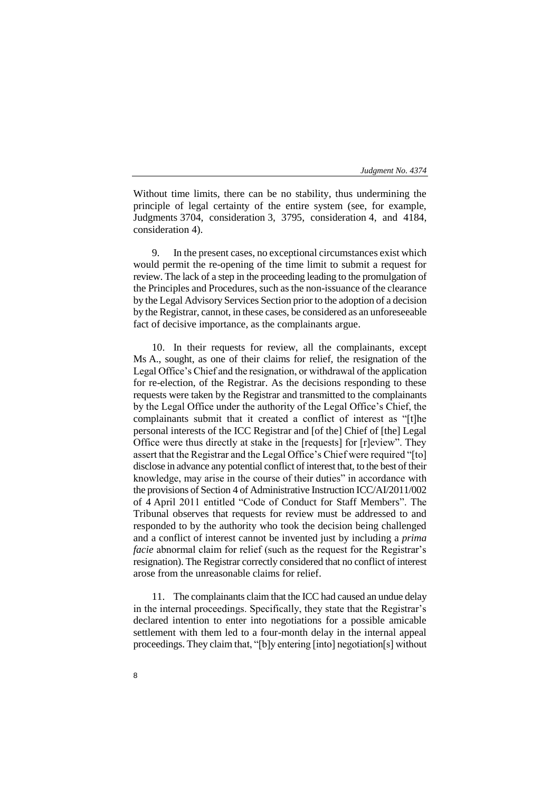Without time limits, there can be no stability, thus undermining the principle of legal certainty of the entire system (see, for example, Judgments 3704, consideration 3, 3795, consideration 4, and 4184, consideration 4).

9. In the present cases, no exceptional circumstances exist which would permit the re-opening of the time limit to submit a request for review. The lack of a step in the proceeding leading to the promulgation of the Principles and Procedures, such as the non-issuance of the clearance by the Legal Advisory Services Section prior to the adoption of a decision by the Registrar, cannot, in these cases, be considered as an unforeseeable fact of decisive importance, as the complainants argue.

10. In their requests for review, all the complainants, except Ms A., sought, as one of their claims for relief, the resignation of the Legal Office's Chief and the resignation, or withdrawal of the application for re-election, of the Registrar. As the decisions responding to these requests were taken by the Registrar and transmitted to the complainants by the Legal Office under the authority of the Legal Office's Chief, the complainants submit that it created a conflict of interest as "[t]he personal interests of the ICC Registrar and [of the] Chief of [the] Legal Office were thus directly at stake in the [requests] for [r]eview". They assert that the Registrar and the Legal Office's Chief were required "[to] disclose in advance any potential conflict of interest that, to the best of their knowledge, may arise in the course of their duties" in accordance with the provisions of Section 4 of Administrative Instruction ICC/AI/2011/002 of 4 April 2011 entitled "Code of Conduct for Staff Members". The Tribunal observes that requests for review must be addressed to and responded to by the authority who took the decision being challenged and a conflict of interest cannot be invented just by including a *prima facie* abnormal claim for relief (such as the request for the Registrar's resignation). The Registrar correctly considered that no conflict of interest arose from the unreasonable claims for relief.

11. The complainants claim that the ICC had caused an undue delay in the internal proceedings. Specifically, they state that the Registrar's declared intention to enter into negotiations for a possible amicable settlement with them led to a four-month delay in the internal appeal proceedings. They claim that, "[b]y entering [into] negotiation[s] without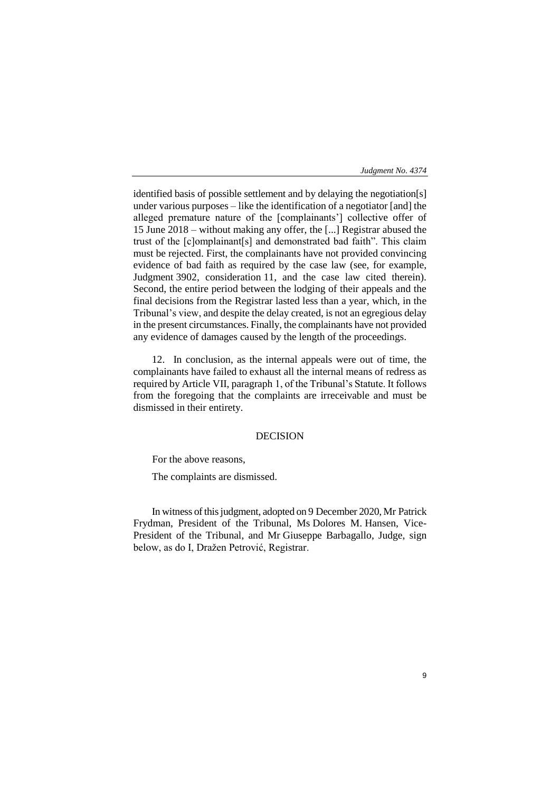identified basis of possible settlement and by delaying the negotiation[s] under various purposes – like the identification of a negotiator [and] the alleged premature nature of the [complainants'] collective offer of 15 June 2018 – without making any offer, the [...] Registrar abused the trust of the [c]omplainant[s] and demonstrated bad faith". This claim must be rejected. First, the complainants have not provided convincing evidence of bad faith as required by the case law (see, for example, Judgment 3902, consideration 11, and the case law cited therein). Second, the entire period between the lodging of their appeals and the final decisions from the Registrar lasted less than a year, which, in the Tribunal's view, and despite the delay created, is not an egregious delay in the present circumstances. Finally, the complainants have not provided any evidence of damages caused by the length of the proceedings.

12. In conclusion, as the internal appeals were out of time, the complainants have failed to exhaust all the internal means of redress as required by Article VII, paragraph 1, of the Tribunal's Statute. It follows from the foregoing that the complaints are irreceivable and must be dismissed in their entirety.

# DECISION

For the above reasons,

The complaints are dismissed.

In witness of this judgment, adopted on 9 December 2020, Mr Patrick Frydman, President of the Tribunal, Ms Dolores M. Hansen, Vice-President of the Tribunal, and Mr Giuseppe Barbagallo, Judge, sign below, as do I, Dražen Petrović, Registrar.